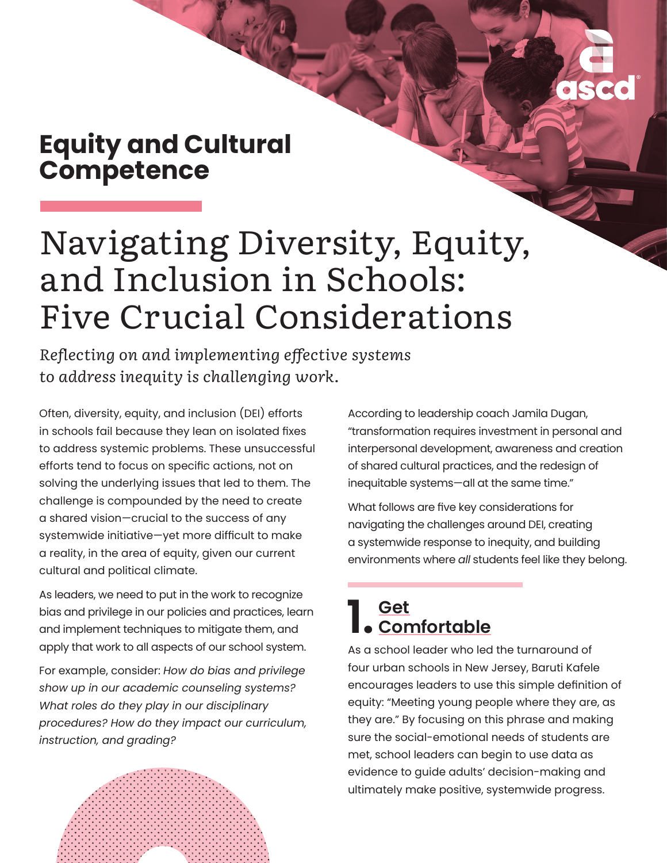## **Equity and Cultural Competence**

# Navigating Diversity, Equity, and Inclusion in Schools: Five Crucial Considerations

*Reflecting on and implementing effective systems to address inequity is challenging work.* 

Often, diversity, equity, and inclusion (DEI) efforts in schools fail because they lean on isolated fixes to address systemic problems. These unsuccessful efforts tend to focus on specific actions, not on solving the underlying issues that led to them. The challenge is compounded by the need to create a shared vision—crucial to the success of any systemwide initiative—yet more difficult to make a reality, in the area of equity, given our current cultural and political climate.

As leaders, we need to put in the work to recognize bias and privilege in our policies and practices, learn and implement techniques to mitigate them, and apply that work to all aspects of our school system.

For example, consider: *How do bias and privilege show up in our academic counseling systems? What roles do they play in our disciplinary procedures? How do they impact our curriculum, instruction, and grading?* 

According to leadership coach Jamila Dugan, ["transformation requires investment](https://www.pewtrusts.org/en/research-and-analysis/blogs/stateline/2021/11/08/covid-harmed-kids-mental-health-and-schools-are-feeling-it) in personal and interpersonal development, awareness and creation of shared cultural practices, and the redesign of inequitable systems—all at the same time."

What follows are five key considerations for navigating the challenges around DEI, creating a systemwide response to inequity, and building environments where *all* students feel like they belong.

#### **[1. Get](https://www.ascd.org/blogs/q-and-a-baruti-kafele-on-leading-for-equity) [Comfortable](https://www.ascd.org/blogs/q-and-a-baruti-kafele-on-leading-for-equity)**

As a school leader who led the turnaround of four urban schools in New Jersey, Baruti Kafele encourages leaders to use this simple definition of equity: "Meeting young people where they are, as they are." By focusing on this phrase and making sure the social-emotional needs of students are met, school leaders can begin to use data as evidence to guide adults' decision-making and ultimately make positive, systemwide progress.